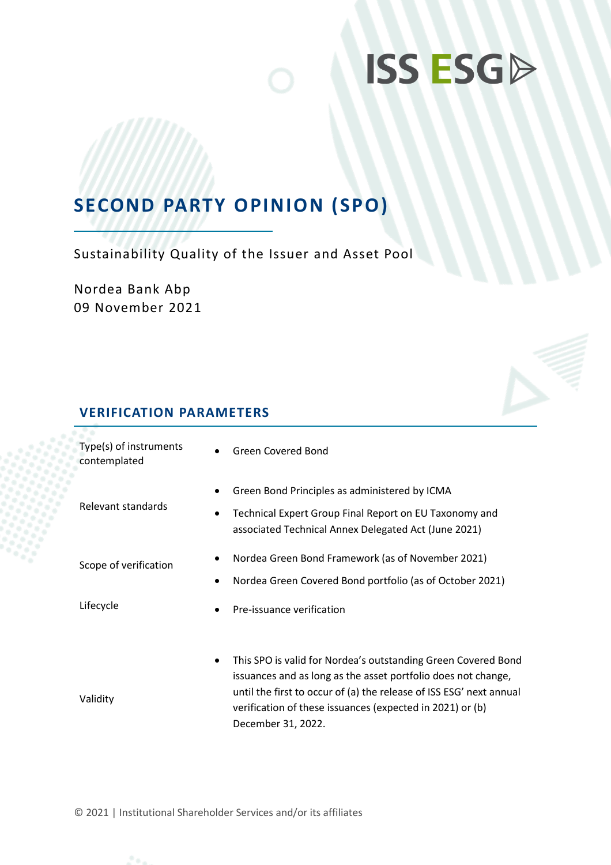# **ISS ESGD**

## **SECOND PARTY OPINION (SPO)**

Sustainability Quality of the Issuer and Asset Pool

Nordea Bank Abp 09 November 2021

### **VERIFICATION PARAMETERS**

| Type(s) of instruments<br>contemplated | <b>Green Covered Bond</b><br>$\bullet$                                                                                                                                                                                                                                                                |
|----------------------------------------|-------------------------------------------------------------------------------------------------------------------------------------------------------------------------------------------------------------------------------------------------------------------------------------------------------|
| Relevant standards                     | Green Bond Principles as administered by ICMA<br>٠<br>Technical Expert Group Final Report on EU Taxonomy and<br>٠<br>associated Technical Annex Delegated Act (June 2021)                                                                                                                             |
| Scope of verification                  | Nordea Green Bond Framework (as of November 2021)<br>٠<br>Nordea Green Covered Bond portfolio (as of October 2021)                                                                                                                                                                                    |
| Lifecycle                              | Pre-issuance verification<br>$\bullet$                                                                                                                                                                                                                                                                |
| Validity                               | This SPO is valid for Nordea's outstanding Green Covered Bond<br>$\bullet$<br>issuances and as long as the asset portfolio does not change,<br>until the first to occur of (a) the release of ISS ESG' next annual<br>verification of these issuances (expected in 2021) or (b)<br>December 31, 2022. |

© 2021 | Institutional Shareholder Services and/or its affiliates

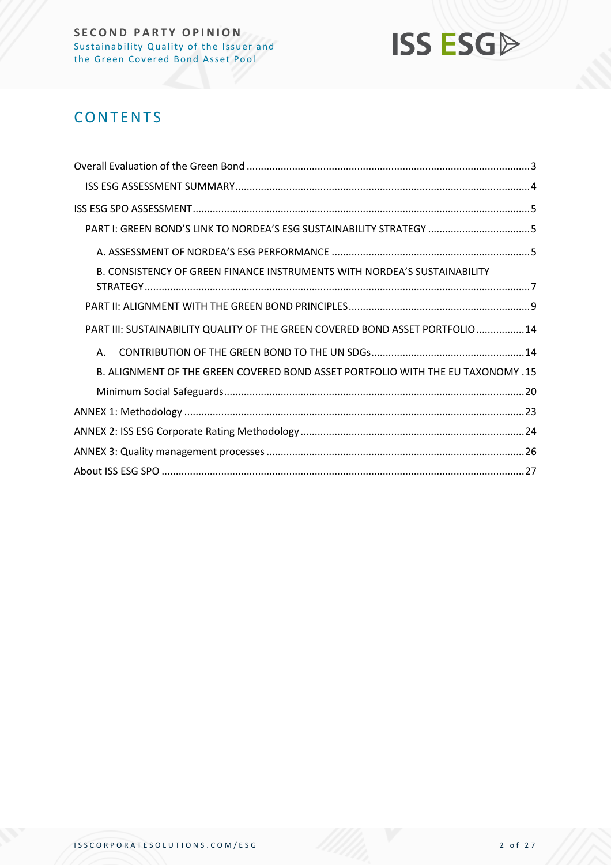

## **CONTENTS**

| PART I: GREEN BOND'S LINK TO NORDEA'S ESG SUSTAINABILITY STRATEGY 5                    |  |
|----------------------------------------------------------------------------------------|--|
|                                                                                        |  |
| B. CONSISTENCY OF GREEN FINANCE INSTRUMENTS WITH NORDEA'S SUSTAINABILITY               |  |
|                                                                                        |  |
| PART III: SUSTAINABILITY QUALITY OF THE GREEN COVERED BOND ASSET PORTFOLIO 14          |  |
| Α.                                                                                     |  |
| <b>B. ALIGNMENT OF THE GREEN COVERED BOND ASSET PORTFOLIO WITH THE EU TAXONOMY .15</b> |  |
|                                                                                        |  |
|                                                                                        |  |
|                                                                                        |  |
|                                                                                        |  |
|                                                                                        |  |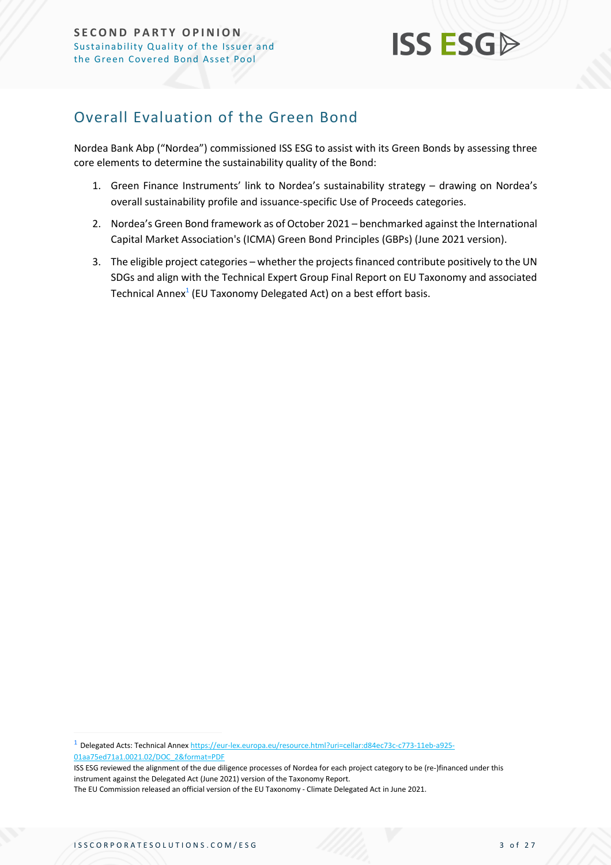## **ISS ESG**

## <span id="page-2-0"></span>Overall Evaluation of the Green Bond

Nordea Bank Abp ("Nordea") commissioned ISS ESG to assist with its Green Bonds by assessing three core elements to determine the sustainability quality of the Bond:

- 1. Green Finance Instruments' link to Nordea's sustainability strategy drawing on Nordea's overall sustainability profile and issuance-specific Use of Proceeds categories.
- 2. Nordea's Green Bond framework as of October 2021 benchmarked against the International Capital Market Association's (ICMA) Green Bond Principles (GBPs) (June 2021 version).
- 3. The eligible project categories whether the projects financed contribute positively to the UN SDGs and align with the Technical Expert Group Final Report on EU Taxonomy and associated Technical Annex $^1$  (EU Taxonomy Delegated Act) on a best effort basis.

<sup>1</sup> Delegated Acts: Technical Anne[x https://eur-lex.europa.eu/resource.html?uri=cellar:d84ec73c-c773-11eb-a925-](https://eur-lex.europa.eu/resource.html?uri=cellar:d84ec73c-c773-11eb-a925-01aa75ed71a1.0021.02/DOC_2&format=PDF) [01aa75ed71a1.0021.02/DOC\\_2&format=PDF](https://eur-lex.europa.eu/resource.html?uri=cellar:d84ec73c-c773-11eb-a925-01aa75ed71a1.0021.02/DOC_2&format=PDF)

ISS ESG reviewed the alignment of the due diligence processes of Nordea for each project category to be (re-)financed under this instrument against the Delegated Act (June 2021) version of the Taxonomy Report.

The EU Commission released an official version of the EU Taxonomy - Climate Delegated Act in June 2021.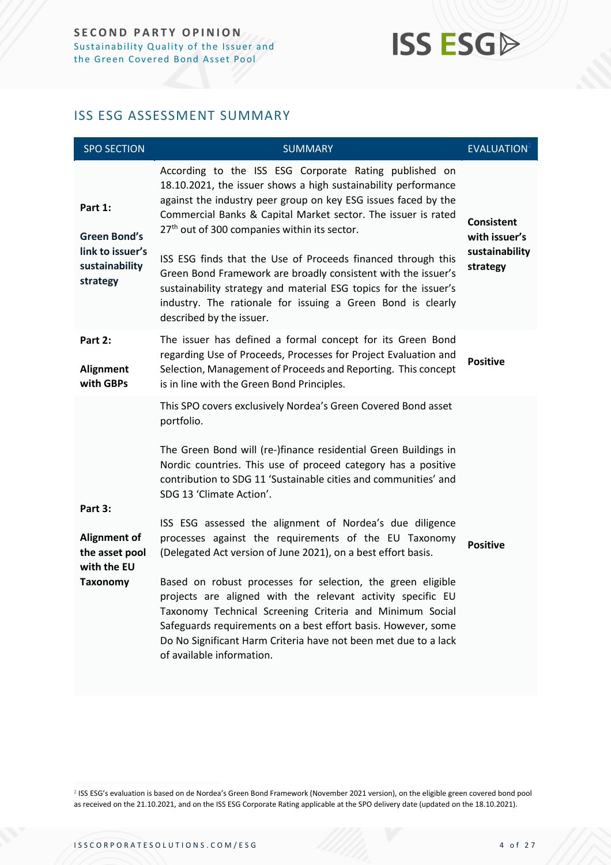## **ISS ESGA**

### <span id="page-3-0"></span>ISS ESG ASSESSMENT SUMMARY

| <b>SPO SECTION</b>                                                               | <b>SUMMARY</b>                                                                                                                                                                                                                                                                                                                                                                                                                                                                                                                                                                                                                                                                                                                                                                                                                                                  | <b>EVALUATION</b> <sup>2</sup>                                   |
|----------------------------------------------------------------------------------|-----------------------------------------------------------------------------------------------------------------------------------------------------------------------------------------------------------------------------------------------------------------------------------------------------------------------------------------------------------------------------------------------------------------------------------------------------------------------------------------------------------------------------------------------------------------------------------------------------------------------------------------------------------------------------------------------------------------------------------------------------------------------------------------------------------------------------------------------------------------|------------------------------------------------------------------|
| Part 1:<br><b>Green Bond's</b><br>link to issuer's<br>sustainability<br>strategy | According to the ISS ESG Corporate Rating published on<br>18.10.2021, the issuer shows a high sustainability performance<br>against the industry peer group on key ESG issues faced by the<br>Commercial Banks & Capital Market sector. The issuer is rated<br>27 <sup>th</sup> out of 300 companies within its sector.<br>ISS ESG finds that the Use of Proceeds financed through this<br>Green Bond Framework are broadly consistent with the issuer's<br>sustainability strategy and material ESG topics for the issuer's<br>industry. The rationale for issuing a Green Bond is clearly<br>described by the issuer.                                                                                                                                                                                                                                         | <b>Consistent</b><br>with issuer's<br>sustainability<br>strategy |
| Part 2:<br>Alignment<br>with GBPs                                                | The issuer has defined a formal concept for its Green Bond<br>regarding Use of Proceeds, Processes for Project Evaluation and<br>Selection, Management of Proceeds and Reporting. This concept<br>is in line with the Green Bond Principles.                                                                                                                                                                                                                                                                                                                                                                                                                                                                                                                                                                                                                    | <b>Positive</b>                                                  |
| Part 3:<br>Alignment of<br>the asset pool<br>with the EU<br><b>Taxonomy</b>      | This SPO covers exclusively Nordea's Green Covered Bond asset<br>portfolio.<br>The Green Bond will (re-)finance residential Green Buildings in<br>Nordic countries. This use of proceed category has a positive<br>contribution to SDG 11 'Sustainable cities and communities' and<br>SDG 13 'Climate Action'.<br>ISS ESG assessed the alignment of Nordea's due diligence<br>processes against the requirements of the EU Taxonomy<br>(Delegated Act version of June 2021), on a best effort basis.<br>Based on robust processes for selection, the green eligible<br>projects are aligned with the relevant activity specific EU<br>Taxonomy Technical Screening Criteria and Minimum Social<br>Safeguards requirements on a best effort basis. However, some<br>Do No Significant Harm Criteria have not been met due to a lack<br>of available information. | <b>Positive</b>                                                  |

2 ISS ESG's evaluation is based on de Nordea's Green Bond Framework (November 2021 version), on the eligible green covered bond pool as received on the 21.10.2021, and on the ISS ESG Corporate Rating applicable at the SPO delivery date (updated on the 18.10.2021).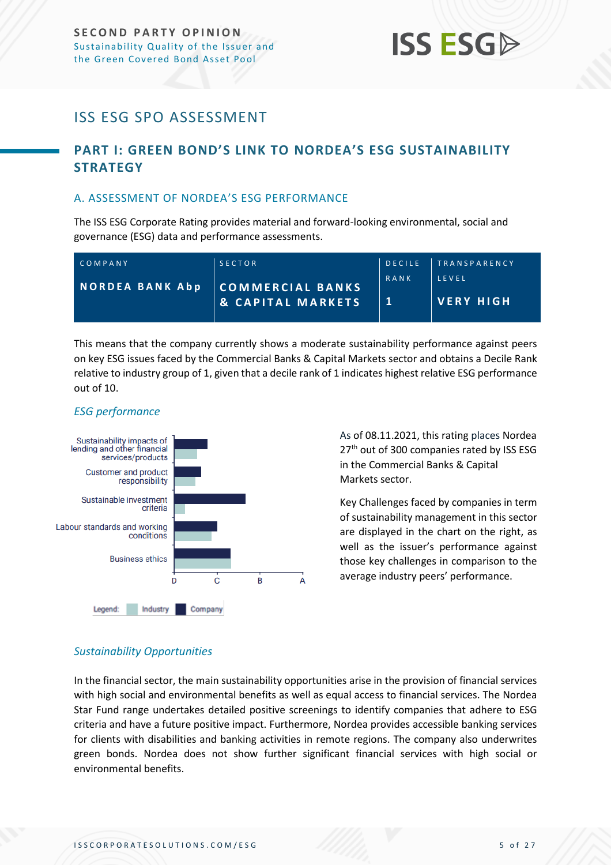## **ISS ESG**

## <span id="page-4-0"></span>ISS ESG SPO ASSESSMENT

### <span id="page-4-1"></span>**PART I: GREEN BOND'S LINK TO NORDEA'S ESG SUSTAINABILITY STRATEGY**

#### <span id="page-4-2"></span>A. ASSESSMENT OF NORDEA'S ESG PERFORMANCE

The ISS ESG Corporate Rating provides material and forward-looking environmental, social and governance (ESG) data and performance assessments.

| COMPANY                | <b>SECTOR</b>                                    |      | DECILE TRANSPARENCY   |
|------------------------|--------------------------------------------------|------|-----------------------|
| <b>NORDEA BANK Abp</b> | COMMERCIAL BANKS<br><b>&amp; CAPITAL MARKETS</b> | RANK | LEVEL<br>I VERY HIGH. |

This means that the company currently shows a moderate sustainability performance against peers on key ESG issues faced by the Commercial Banks & Capital Markets sector and obtains a Decile Rank relative to industry group of 1, given that a decile rank of 1 indicates highest relative ESG performance out of 10.

#### *ESG performance*



As of 08.11.2021, this rating places Nordea 27<sup>th</sup> out of 300 companies rated by ISS ESG in the Commercial Banks & Capital Markets sector.

Key Challenges faced by companies in term of sustainability management in this sector are displayed in the chart on the right, as well as the issuer's performance against those key challenges in comparison to the average industry peers' performance.

#### *Sustainability Opportunities*

In the financial sector, the main sustainability opportunities arise in the provision of financial services with high social and environmental benefits as well as equal access to financial services. The Nordea Star Fund range undertakes detailed positive screenings to identify companies that adhere to ESG criteria and have a future positive impact. Furthermore, Nordea provides accessible banking services for clients with disabilities and banking activities in remote regions. The company also underwrites green bonds. Nordea does not show further significant financial services with high social or environmental benefits.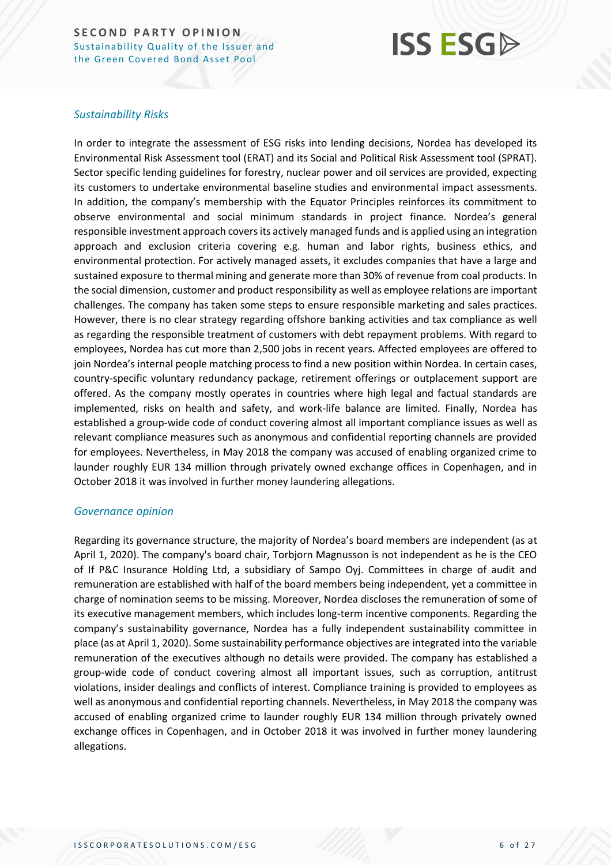## **ISS ESG**

#### *Sustainability Risks*

In order to integrate the assessment of ESG risks into lending decisions, Nordea has developed its Environmental Risk Assessment tool (ERAT) and its Social and Political Risk Assessment tool (SPRAT). Sector specific lending guidelines for forestry, nuclear power and oil services are provided, expecting its customers to undertake environmental baseline studies and environmental impact assessments. In addition, the company's membership with the Equator Principles reinforces its commitment to observe environmental and social minimum standards in project finance. Nordea's general responsible investment approach covers its actively managed funds and is applied using an integration approach and exclusion criteria covering e.g. human and labor rights, business ethics, and environmental protection. For actively managed assets, it excludes companies that have a large and sustained exposure to thermal mining and generate more than 30% of revenue from coal products. In the social dimension, customer and product responsibility as well as employee relations are important challenges. The company has taken some steps to ensure responsible marketing and sales practices. However, there is no clear strategy regarding offshore banking activities and tax compliance as well as regarding the responsible treatment of customers with debt repayment problems. With regard to employees, Nordea has cut more than 2,500 jobs in recent years. Affected employees are offered to join Nordea's internal people matching process to find a new position within Nordea. In certain cases, country-specific voluntary redundancy package, retirement offerings or outplacement support are offered. As the company mostly operates in countries where high legal and factual standards are implemented, risks on health and safety, and work-life balance are limited. Finally, Nordea has established a group-wide code of conduct covering almost all important compliance issues as well as relevant compliance measures such as anonymous and confidential reporting channels are provided for employees. Nevertheless, in May 2018 the company was accused of enabling organized crime to launder roughly EUR 134 million through privately owned exchange offices in Copenhagen, and in October 2018 it was involved in further money laundering allegations.

#### *Governance opinion*

Regarding its governance structure, the majority of Nordea's board members are independent (as at April 1, 2020). The company's board chair, Torbjorn Magnusson is not independent as he is the CEO of If P&C Insurance Holding Ltd, a subsidiary of Sampo Oyj. Committees in charge of audit and remuneration are established with half of the board members being independent, yet a committee in charge of nomination seems to be missing. Moreover, Nordea discloses the remuneration of some of its executive management members, which includes long-term incentive components. Regarding the company's sustainability governance, Nordea has a fully independent sustainability committee in place (as at April 1, 2020). Some sustainability performance objectives are integrated into the variable remuneration of the executives although no details were provided. The company has established a group-wide code of conduct covering almost all important issues, such as corruption, antitrust violations, insider dealings and conflicts of interest. Compliance training is provided to employees as well as anonymous and confidential reporting channels. Nevertheless, in May 2018 the company was accused of enabling organized crime to launder roughly EUR 134 million through privately owned exchange offices in Copenhagen, and in October 2018 it was involved in further money laundering allegations.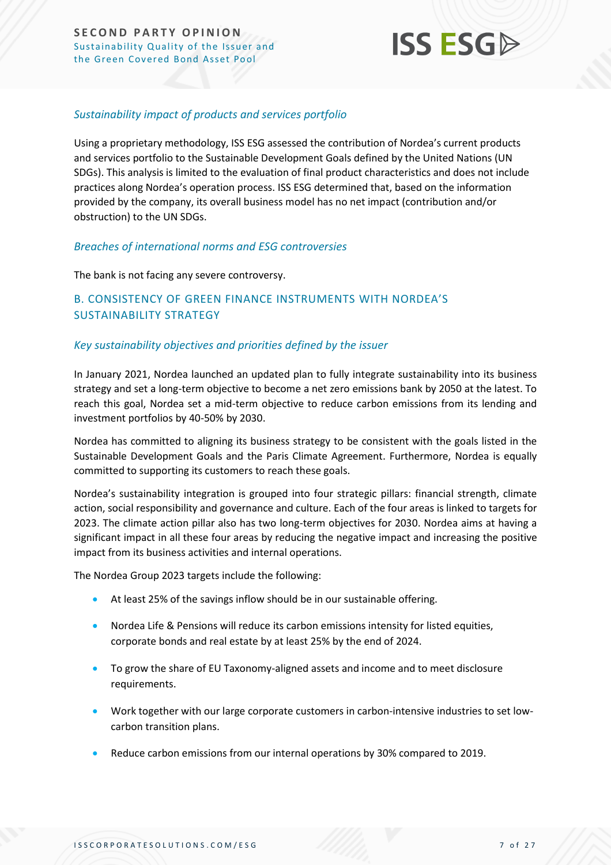

#### *Sustainability impact of products and services portfolio*

Using a proprietary methodology, ISS ESG assessed the contribution of Nordea's current products and services portfolio to the Sustainable Development Goals defined by the United Nations (UN SDGs). This analysis is limited to the evaluation of final product characteristics and does not include practices along Nordea's operation process. ISS ESG determined that, based on the information provided by the company, its overall business model has no net impact (contribution and/or obstruction) to the UN SDGs.

#### *Breaches of international norms and ESG controversies*

The bank is not facing any severe controversy.

#### <span id="page-6-0"></span>B. CONSISTENCY OF GREEN FINANCE INSTRUMENTS WITH NORDEA'S SUSTAINABILITY STRATEGY

#### *Key sustainability objectives and priorities defined by the issuer*

In January 2021, Nordea launched an updated plan to fully integrate sustainability into its business strategy and set a long-term objective to become a net zero emissions bank by 2050 at the latest. To reach this goal, Nordea set a mid-term objective to reduce carbon emissions from its lending and investment portfolios by 40-50% by 2030.

Nordea has committed to aligning its business strategy to be consistent with the goals listed in the Sustainable Development Goals and the Paris Climate Agreement. Furthermore, Nordea is equally committed to supporting its customers to reach these goals.

Nordea's sustainability integration is grouped into four strategic pillars: financial strength, climate action, social responsibility and governance and culture. Each of the four areas is linked to targets for 2023. The climate action pillar also has two long-term objectives for 2030. Nordea aims at having a significant impact in all these four areas by reducing the negative impact and increasing the positive impact from its business activities and internal operations.

The Nordea Group 2023 targets include the following:

- At least 25% of the savings inflow should be in our sustainable offering.
- Nordea Life & Pensions will reduce its carbon emissions intensity for listed equities, corporate bonds and real estate by at least 25% by the end of 2024.
- To grow the share of EU Taxonomy-aligned assets and income and to meet disclosure requirements.
- Work together with our large corporate customers in carbon-intensive industries to set lowcarbon transition plans.
- Reduce carbon emissions from our internal operations by 30% compared to 2019.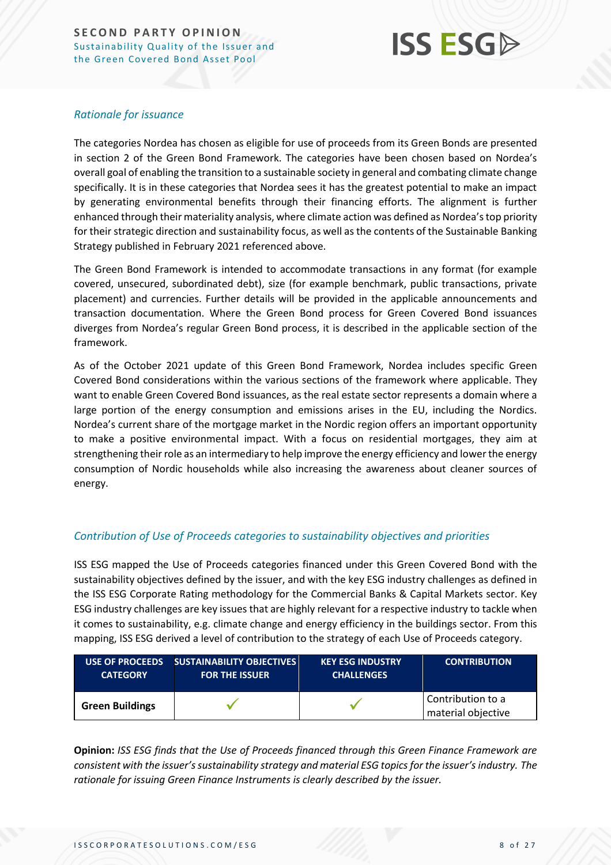

#### *Rationale for issuance*

The categories Nordea has chosen as eligible for use of proceeds from its Green Bonds are presented in section 2 of the Green Bond Framework. The categories have been chosen based on Nordea's overall goal of enabling the transition to a sustainable society in general and combating climate change specifically. It is in these categories that Nordea sees it has the greatest potential to make an impact by generating environmental benefits through their financing efforts. The alignment is further enhanced through their materiality analysis, where climate action was defined as Nordea's top priority for their strategic direction and sustainability focus, as well as the contents of the Sustainable Banking Strategy published in February 2021 referenced above.

The Green Bond Framework is intended to accommodate transactions in any format (for example covered, unsecured, subordinated debt), size (for example benchmark, public transactions, private placement) and currencies. Further details will be provided in the applicable announcements and transaction documentation. Where the Green Bond process for Green Covered Bond issuances diverges from Nordea's regular Green Bond process, it is described in the applicable section of the framework.

As of the October 2021 update of this Green Bond Framework, Nordea includes specific Green Covered Bond considerations within the various sections of the framework where applicable. They want to enable Green Covered Bond issuances, as the real estate sector represents a domain where a large portion of the energy consumption and emissions arises in the EU, including the Nordics. Nordea's current share of the mortgage market in the Nordic region offers an important opportunity to make a positive environmental impact. With a focus on residential mortgages, they aim at strengthening their role as an intermediary to help improve the energy efficiency and lower the energy consumption of Nordic households while also increasing the awareness about cleaner sources of energy.

#### *Contribution of Use of Proceeds categories to sustainability objectives and priorities*

ISS ESG mapped the Use of Proceeds categories financed under this Green Covered Bond with the sustainability objectives defined by the issuer, and with the key ESG industry challenges as defined in the ISS ESG Corporate Rating methodology for the Commercial Banks & Capital Markets sector. Key ESG industry challenges are key issues that are highly relevant for a respective industry to tackle when it comes to sustainability, e.g. climate change and energy efficiency in the buildings sector. From this mapping, ISS ESG derived a level of contribution to the strategy of each Use of Proceeds category.

| <b>USE OF PROCEEDS</b> | <b>SUSTAINABILITY OBJECTIVES</b> | <b>KEY ESG INDUSTRY</b> | <b>CONTRIBUTION</b>                     |
|------------------------|----------------------------------|-------------------------|-----------------------------------------|
| <b>CATEGORY</b>        | <b>FOR THE ISSUER</b>            | <b>CHALLENGES</b>       |                                         |
| <b>Green Buildings</b> |                                  |                         | Contribution to a<br>material objective |

**Opinion:** *ISS ESG finds that the Use of Proceeds financed through this Green Finance Framework are consistent with the issuer's sustainability strategy and material ESG topics for the issuer's industry. The rationale for issuing Green Finance Instruments is clearly described by the issuer.*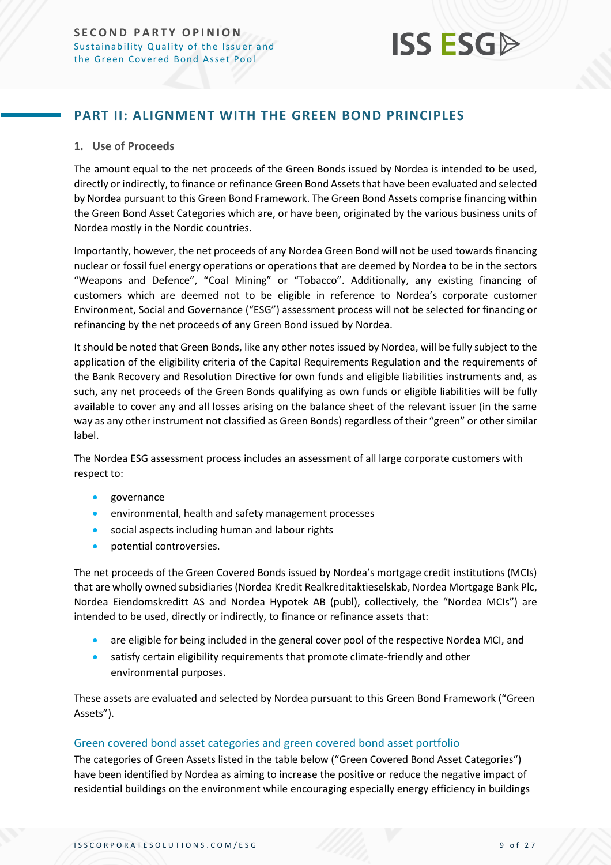## **ISS ESG**

### <span id="page-8-0"></span>**PART II: ALIGNMENT WITH THE GREEN BOND PRINCIPLES**

#### **1. Use of Proceeds**

The amount equal to the net proceeds of the Green Bonds issued by Nordea is intended to be used, directly or indirectly, to finance or refinance Green Bond Assets that have been evaluated and selected by Nordea pursuant to this Green Bond Framework. The Green Bond Assets comprise financing within the Green Bond Asset Categories which are, or have been, originated by the various business units of Nordea mostly in the Nordic countries.

Importantly, however, the net proceeds of any Nordea Green Bond will not be used towards financing nuclear or fossil fuel energy operations or operations that are deemed by Nordea to be in the sectors "Weapons and Defence", "Coal Mining" or "Tobacco". Additionally, any existing financing of customers which are deemed not to be eligible in reference to Nordea's corporate customer Environment, Social and Governance ("ESG") assessment process will not be selected for financing or refinancing by the net proceeds of any Green Bond issued by Nordea.

It should be noted that Green Bonds, like any other notes issued by Nordea, will be fully subject to the application of the eligibility criteria of the Capital Requirements Regulation and the requirements of the Bank Recovery and Resolution Directive for own funds and eligible liabilities instruments and, as such, any net proceeds of the Green Bonds qualifying as own funds or eligible liabilities will be fully available to cover any and all losses arising on the balance sheet of the relevant issuer (in the same way as any other instrument not classified as Green Bonds) regardless of their "green" or other similar label.

The Nordea ESG assessment process includes an assessment of all large corporate customers with respect to:

- governance
- environmental, health and safety management processes
- social aspects including human and labour rights
- potential controversies.

The net proceeds of the Green Covered Bonds issued by Nordea's mortgage credit institutions (MCIs) that are wholly owned subsidiaries (Nordea Kredit Realkreditaktieselskab, Nordea Mortgage Bank Plc, Nordea Eiendomskreditt AS and Nordea Hypotek AB (publ), collectively, the "Nordea MCIs") are intended to be used, directly or indirectly, to finance or refinance assets that:

- are eligible for being included in the general cover pool of the respective Nordea MCI, and
- satisfy certain eligibility requirements that promote climate-friendly and other environmental purposes.

These assets are evaluated and selected by Nordea pursuant to this Green Bond Framework ("Green Assets").

#### Green covered bond asset categories and green covered bond asset portfolio

The categories of Green Assets listed in the table below ("Green Covered Bond Asset Categories") have been identified by Nordea as aiming to increase the positive or reduce the negative impact of residential buildings on the environment while encouraging especially energy efficiency in buildings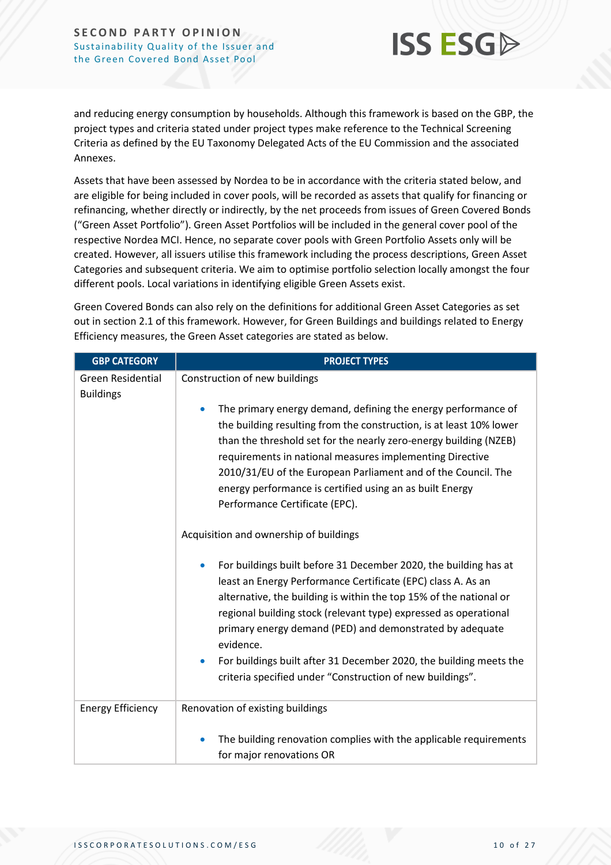

and reducing energy consumption by households. Although this framework is based on the GBP, the project types and criteria stated under project types make reference to the Technical Screening Criteria as defined by the EU Taxonomy Delegated Acts of the EU Commission and the associated Annexes.

Assets that have been assessed by Nordea to be in accordance with the criteria stated below, and are eligible for being included in cover pools, will be recorded as assets that qualify for financing or refinancing, whether directly or indirectly, by the net proceeds from issues of Green Covered Bonds ("Green Asset Portfolio"). Green Asset Portfolios will be included in the general cover pool of the respective Nordea MCI. Hence, no separate cover pools with Green Portfolio Assets only will be created. However, all issuers utilise this framework including the process descriptions, Green Asset Categories and subsequent criteria. We aim to optimise portfolio selection locally amongst the four different pools. Local variations in identifying eligible Green Assets exist.

Green Covered Bonds can also rely on the definitions for additional Green Asset Categories as set out in section 2.1 of this framework. However, for Green Buildings and buildings related to Energy Efficiency measures, the Green Asset categories are stated as below.

| <b>GBP CATEGORY</b>                   | <b>PROJECT TYPES</b>                                                                                                                                                                                                                                                                                                                                |
|---------------------------------------|-----------------------------------------------------------------------------------------------------------------------------------------------------------------------------------------------------------------------------------------------------------------------------------------------------------------------------------------------------|
| Green Residential<br><b>Buildings</b> | Construction of new buildings<br>The primary energy demand, defining the energy performance of<br>the building resulting from the construction, is at least 10% lower                                                                                                                                                                               |
|                                       | than the threshold set for the nearly zero-energy building (NZEB)<br>requirements in national measures implementing Directive<br>2010/31/EU of the European Parliament and of the Council. The<br>energy performance is certified using an as built Energy<br>Performance Certificate (EPC).                                                        |
|                                       | Acquisition and ownership of buildings                                                                                                                                                                                                                                                                                                              |
|                                       | For buildings built before 31 December 2020, the building has at<br>least an Energy Performance Certificate (EPC) class A. As an<br>alternative, the building is within the top 15% of the national or<br>regional building stock (relevant type) expressed as operational<br>primary energy demand (PED) and demonstrated by adequate<br>evidence. |
|                                       | For buildings built after 31 December 2020, the building meets the<br>$\bullet$<br>criteria specified under "Construction of new buildings".                                                                                                                                                                                                        |
| <b>Energy Efficiency</b>              | Renovation of existing buildings                                                                                                                                                                                                                                                                                                                    |
|                                       | The building renovation complies with the applicable requirements<br>for major renovations OR                                                                                                                                                                                                                                                       |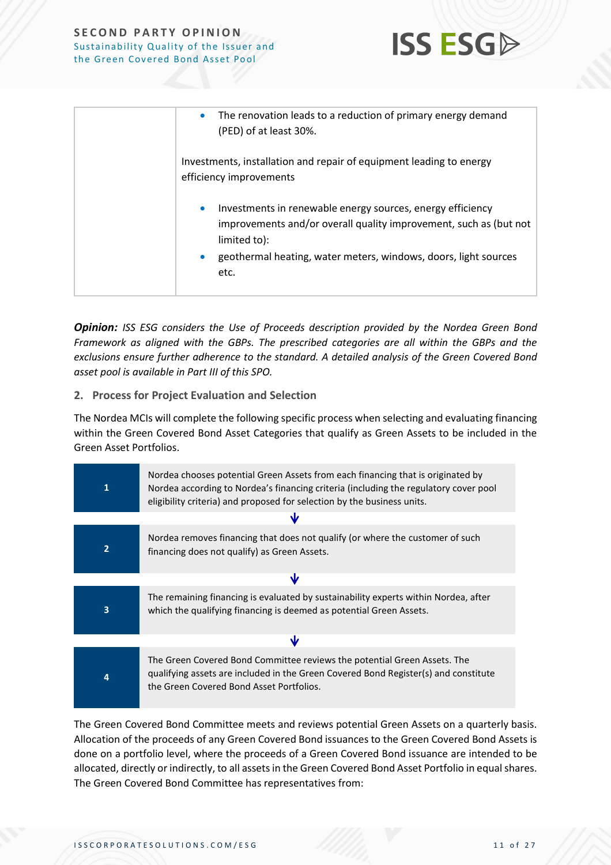

**ISS ESG** 

*Opinion: ISS ESG considers the Use of Proceeds description provided by the Nordea Green Bond Framework as aligned with the GBPs. The prescribed categories are all within the GBPs and the exclusions ensure further adherence to the standard. A detailed analysis of the Green Covered Bond asset pool is available in Part III of this SPO.*

#### **2. Process for Project Evaluation and Selection**

The Nordea MCIs will complete the following specific process when selecting and evaluating financing within the Green Covered Bond Asset Categories that qualify as Green Assets to be included in the Green Asset Portfolios.

| 1                       | Nordea chooses potential Green Assets from each financing that is originated by<br>Nordea according to Nordea's financing criteria (including the regulatory cover pool<br>eligibility criteria) and proposed for selection by the business units. |  |
|-------------------------|----------------------------------------------------------------------------------------------------------------------------------------------------------------------------------------------------------------------------------------------------|--|
|                         | w                                                                                                                                                                                                                                                  |  |
| $\overline{2}$          | Nordea removes financing that does not qualify (or where the customer of such<br>financing does not qualify) as Green Assets.                                                                                                                      |  |
| ₩                       |                                                                                                                                                                                                                                                    |  |
| $\overline{\mathbf{3}}$ | The remaining financing is evaluated by sustainability experts within Nordea, after<br>which the qualifying financing is deemed as potential Green Assets.                                                                                         |  |
| ۱v                      |                                                                                                                                                                                                                                                    |  |
| 4                       | The Green Covered Bond Committee reviews the potential Green Assets. The<br>qualifying assets are included in the Green Covered Bond Register(s) and constitute<br>the Green Covered Bond Asset Portfolios.                                        |  |

The Green Covered Bond Committee meets and reviews potential Green Assets on a quarterly basis. Allocation of the proceeds of any Green Covered Bond issuances to the Green Covered Bond Assets is done on a portfolio level, where the proceeds of a Green Covered Bond issuance are intended to be allocated, directly or indirectly, to all assets in the Green Covered Bond Asset Portfolio in equal shares. The Green Covered Bond Committee has representatives from: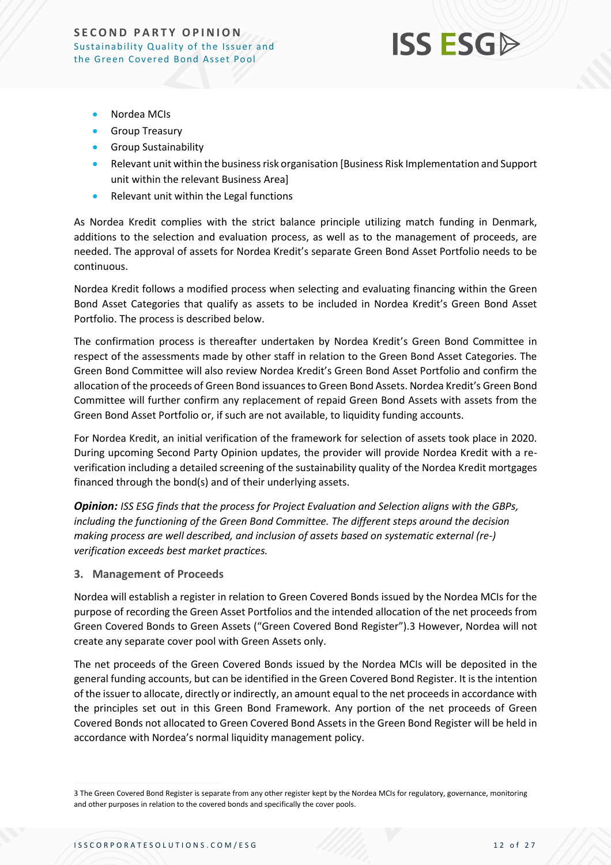

- Nordea MCIs
- Group Treasury
- Group Sustainability
- Relevant unit within the business risk organisation [Business Risk Implementation and Support unit within the relevant Business Area]
- Relevant unit within the Legal functions

As Nordea Kredit complies with the strict balance principle utilizing match funding in Denmark, additions to the selection and evaluation process, as well as to the management of proceeds, are needed. The approval of assets for Nordea Kredit's separate Green Bond Asset Portfolio needs to be continuous.

Nordea Kredit follows a modified process when selecting and evaluating financing within the Green Bond Asset Categories that qualify as assets to be included in Nordea Kredit's Green Bond Asset Portfolio. The process is described below.

The confirmation process is thereafter undertaken by Nordea Kredit's Green Bond Committee in respect of the assessments made by other staff in relation to the Green Bond Asset Categories. The Green Bond Committee will also review Nordea Kredit's Green Bond Asset Portfolio and confirm the allocation of the proceeds of Green Bond issuances to Green Bond Assets. Nordea Kredit's Green Bond Committee will further confirm any replacement of repaid Green Bond Assets with assets from the Green Bond Asset Portfolio or, if such are not available, to liquidity funding accounts.

For Nordea Kredit, an initial verification of the framework for selection of assets took place in 2020. During upcoming Second Party Opinion updates, the provider will provide Nordea Kredit with a reverification including a detailed screening of the sustainability quality of the Nordea Kredit mortgages financed through the bond(s) and of their underlying assets.

*Opinion: ISS ESG finds that the process for Project Evaluation and Selection aligns with the GBPs, including the functioning of the Green Bond Committee. The different steps around the decision making process are well described, and inclusion of assets based on systematic external (re-) verification exceeds best market practices.*

#### **3. Management of Proceeds**

Nordea will establish a register in relation to Green Covered Bonds issued by the Nordea MCIs for the purpose of recording the Green Asset Portfolios and the intended allocation of the net proceeds from Green Covered Bonds to Green Assets ("Green Covered Bond Register").3 However, Nordea will not create any separate cover pool with Green Assets only.

The net proceeds of the Green Covered Bonds issued by the Nordea MCIs will be deposited in the general funding accounts, but can be identified in the Green Covered Bond Register. It is the intention of the issuer to allocate, directly or indirectly, an amount equal to the net proceeds in accordance with the principles set out in this Green Bond Framework. Any portion of the net proceeds of Green Covered Bonds not allocated to Green Covered Bond Assets in the Green Bond Register will be held in accordance with Nordea's normal liquidity management policy.

<sup>3</sup> The Green Covered Bond Register is separate from any other register kept by the Nordea MCIs for regulatory, governance, monitoring and other purposes in relation to the covered bonds and specifically the cover pools.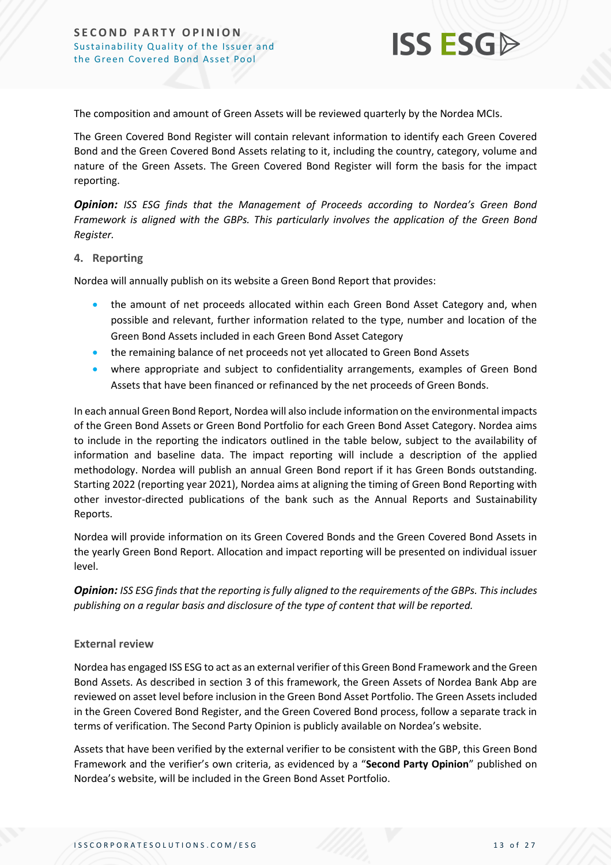

The composition and amount of Green Assets will be reviewed quarterly by the Nordea MCIs.

The Green Covered Bond Register will contain relevant information to identify each Green Covered Bond and the Green Covered Bond Assets relating to it, including the country, category, volume and nature of the Green Assets. The Green Covered Bond Register will form the basis for the impact reporting.

*Opinion: ISS ESG finds that the Management of Proceeds according to Nordea's Green Bond Framework is aligned with the GBPs. This particularly involves the application of the Green Bond Register.*

#### **4. Reporting**

Nordea will annually publish on its website a Green Bond Report that provides:

- the amount of net proceeds allocated within each Green Bond Asset Category and, when possible and relevant, further information related to the type, number and location of the Green Bond Assets included in each Green Bond Asset Category
- the remaining balance of net proceeds not yet allocated to Green Bond Assets
- where appropriate and subject to confidentiality arrangements, examples of Green Bond Assets that have been financed or refinanced by the net proceeds of Green Bonds.

In each annual Green Bond Report, Nordea will also include information on the environmental impacts of the Green Bond Assets or Green Bond Portfolio for each Green Bond Asset Category. Nordea aims to include in the reporting the indicators outlined in the table below, subject to the availability of information and baseline data. The impact reporting will include a description of the applied methodology. Nordea will publish an annual Green Bond report if it has Green Bonds outstanding. Starting 2022 (reporting year 2021), Nordea aims at aligning the timing of Green Bond Reporting with other investor-directed publications of the bank such as the Annual Reports and Sustainability Reports.

Nordea will provide information on its Green Covered Bonds and the Green Covered Bond Assets in the yearly Green Bond Report. Allocation and impact reporting will be presented on individual issuer level.

*Opinion: ISS ESG finds that the reporting is fully aligned to the requirements of the GBPs. This includes publishing on a regular basis and disclosure of the type of content that will be reported.*

#### **External review**

Nordea has engaged ISS ESG to act as an external verifier of this Green Bond Framework and the Green Bond Assets. As described in section 3 of this framework, the Green Assets of Nordea Bank Abp are reviewed on asset level before inclusion in the Green Bond Asset Portfolio. The Green Assets included in the Green Covered Bond Register, and the Green Covered Bond process, follow a separate track in terms of verification. The Second Party Opinion is publicly available on Nordea's website.

Assets that have been verified by the external verifier to be consistent with the GBP, this Green Bond Framework and the verifier's own criteria, as evidenced by a "**Second Party Opinion**" published on Nordea's website, will be included in the Green Bond Asset Portfolio.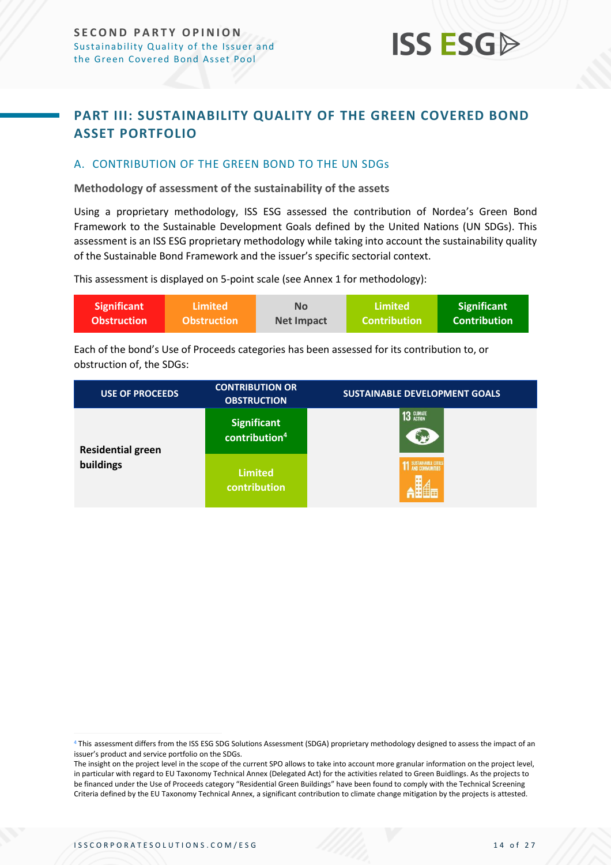### <span id="page-13-0"></span>**PART III: SUSTAINABILITY QUALITY OF THE GREEN COVERED BOND ASSET PORTFOLIO**

**ISS ESG** 

#### <span id="page-13-1"></span>A. CONTRIBUTION OF THE GREEN BOND TO THE UN SDGs

**Methodology of assessment of the sustainability of the assets**

Using a proprietary methodology, ISS ESG assessed the contribution of Nordea's Green Bond Framework to the Sustainable Development Goals defined by the United Nations (UN SDGs). This assessment is an ISS ESG proprietary methodology while taking into account the sustainability quality of the Sustainable Bond Framework and the issuer's specific sectorial context.

This assessment is displayed on 5-point scale (see Annex 1 for methodology):

| <b>Significant</b> | <b>Limited</b>     | <b>No</b>         | Limited             | <b>Significant</b>  |
|--------------------|--------------------|-------------------|---------------------|---------------------|
| <b>Obstruction</b> | <b>Obstruction</b> | <b>Net Impact</b> | <b>Contribution</b> | <b>Contribution</b> |

Each of the bond's Use of Proceeds categories has been assessed for its contribution to, or obstruction of, the SDGs:

| <b>USE OF PROCEEDS</b>   | <b>CONTRIBUTION OR</b><br><b>OBSTRUCTION</b>    | <b>SUSTAINABLE DEVELOPMENT GOALS</b> |
|--------------------------|-------------------------------------------------|--------------------------------------|
| <b>Residential green</b> | <b>Significant</b><br>contribution <sup>4</sup> | <b>13 GLIMATE</b><br>۳               |
| buildings                | <b>Limited</b><br>contribution                  | <b>1</b> SUSTAINABLE CITIES          |

<sup>4</sup> This assessment differs from the ISS ESG SDG Solutions Assessment (SDGA) proprietary methodology designed to assess the impact of an issuer's product and service portfolio on the SDGs.

The insight on the project level in the scope of the current SPO allows to take into account more granular information on the project level, in particular with regard to EU Taxonomy Technical Annex (Delegated Act) for the activities related to Green Buidlings. As the projects to be financed under the Use of Proceeds category "Residential Green Buildings" have been found to comply with the Technical Screening Criteria defined by the EU Taxonomy Technical Annex, a significant contribution to climate change mitigation by the projects is attested.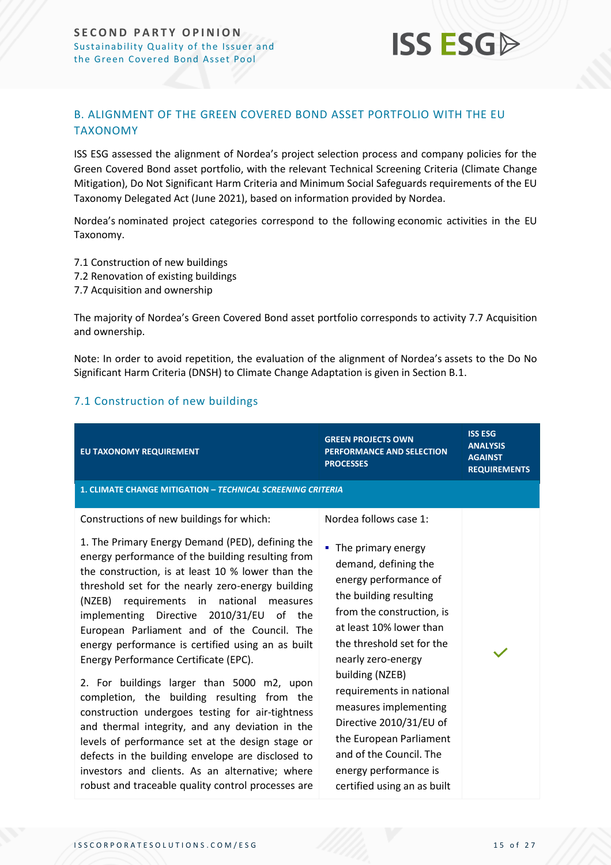### <span id="page-14-0"></span>B. ALIGNMENT OF THE GREEN COVERED BOND ASSET PORTFOLIO WITH THE EU TAXONOMY

ISS ESG assessed the alignment of Nordea's project selection process and company policies for the Green Covered Bond asset portfolio, with the relevant Technical Screening Criteria (Climate Change Mitigation), Do Not Significant Harm Criteria and Minimum Social Safeguards requirements of the EU Taxonomy Delegated Act (June 2021), based on information provided by Nordea.

**ISS ESGA** 

Nordea's nominated project categories correspond to the following economic activities in the EU Taxonomy.

- 7.1 Construction of new buildings
- 7.2 Renovation of existing buildings
- 7.7 Acquisition and ownership

The majority of Nordea's Green Covered Bond asset portfolio corresponds to activity 7.7 Acquisition and ownership.

Note: In order to avoid repetition, the evaluation of the alignment of Nordea's assets to the Do No Significant Harm Criteria (DNSH) to Climate Change Adaptation is given in Section B.1.

#### 7.1 Construction of new buildings

| EU TAXONOMY REQUIREMENT                                                                                                                                                                                                                                                                                                                                                                                                                                                                                                                                                                                                                                                                                                                                                                                                                                                                                                    | <b>GREEN PROJECTS OWN</b><br><b>PERFORMANCE AND SELECTION</b><br><b>PROCESSES</b>                                                                                                                                                                                                                                                                                                                                                                     | <b>ISS ESG</b><br><b>ANALYSIS</b><br><b>AGAINST</b><br><b>REQUIREMENTS</b> |
|----------------------------------------------------------------------------------------------------------------------------------------------------------------------------------------------------------------------------------------------------------------------------------------------------------------------------------------------------------------------------------------------------------------------------------------------------------------------------------------------------------------------------------------------------------------------------------------------------------------------------------------------------------------------------------------------------------------------------------------------------------------------------------------------------------------------------------------------------------------------------------------------------------------------------|-------------------------------------------------------------------------------------------------------------------------------------------------------------------------------------------------------------------------------------------------------------------------------------------------------------------------------------------------------------------------------------------------------------------------------------------------------|----------------------------------------------------------------------------|
| <b>1. CLIMATE CHANGE MITIGATION - TECHNICAL SCREENING CRITERIA</b>                                                                                                                                                                                                                                                                                                                                                                                                                                                                                                                                                                                                                                                                                                                                                                                                                                                         |                                                                                                                                                                                                                                                                                                                                                                                                                                                       |                                                                            |
| Constructions of new buildings for which:<br>1. The Primary Energy Demand (PED), defining the<br>energy performance of the building resulting from<br>the construction, is at least 10 % lower than the<br>threshold set for the nearly zero-energy building<br>(NZEB) requirements in national<br>measures<br>implementing Directive 2010/31/EU of the<br>European Parliament and of the Council. The<br>energy performance is certified using an as built<br>Energy Performance Certificate (EPC).<br>2. For buildings larger than 5000 m2, upon<br>completion, the building resulting from the<br>construction undergoes testing for air-tightness<br>and thermal integrity, and any deviation in the<br>levels of performance set at the design stage or<br>defects in the building envelope are disclosed to<br>investors and clients. As an alternative; where<br>robust and traceable quality control processes are | Nordea follows case 1:<br>• The primary energy<br>demand, defining the<br>energy performance of<br>the building resulting<br>from the construction, is<br>at least 10% lower than<br>the threshold set for the<br>nearly zero-energy<br>building (NZEB)<br>requirements in national<br>measures implementing<br>Directive 2010/31/EU of<br>the European Parliament<br>and of the Council. The<br>energy performance is<br>certified using an as built |                                                                            |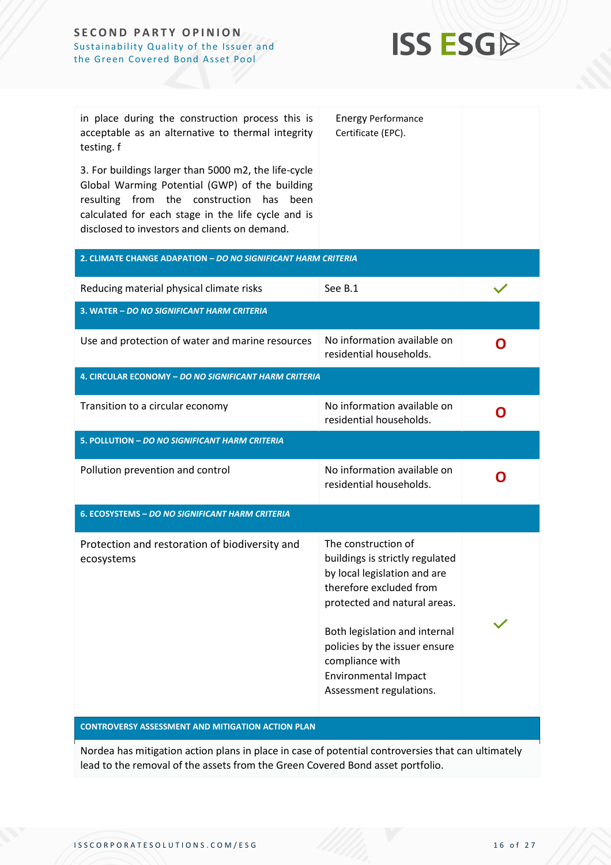

| in place during the construction process this is<br>acceptable as an alternative to thermal integrity<br>testing. f<br>3. For buildings larger than 5000 m2, the life-cycle                             | <b>Energy Performance</b><br>Certificate (EPC).                                                                                                                                                                                        |   |  |  |
|---------------------------------------------------------------------------------------------------------------------------------------------------------------------------------------------------------|----------------------------------------------------------------------------------------------------------------------------------------------------------------------------------------------------------------------------------------|---|--|--|
| Global Warming Potential (GWP) of the building<br>resulting from the construction<br>has<br>been<br>calculated for each stage in the life cycle and is<br>disclosed to investors and clients on demand. |                                                                                                                                                                                                                                        |   |  |  |
| 2. CLIMATE CHANGE ADAPATION - DO NO SIGNIFICANT HARM CRITERIA                                                                                                                                           |                                                                                                                                                                                                                                        |   |  |  |
| Reducing material physical climate risks                                                                                                                                                                | See B.1                                                                                                                                                                                                                                |   |  |  |
| 3. WATER - DO NO SIGNIFICANT HARM CRITERIA                                                                                                                                                              |                                                                                                                                                                                                                                        |   |  |  |
| Use and protection of water and marine resources                                                                                                                                                        | No information available on<br>residential households.                                                                                                                                                                                 | O |  |  |
| 4. CIRCULAR ECONOMY - DO NO SIGNIFICANT HARM CRITERIA                                                                                                                                                   |                                                                                                                                                                                                                                        |   |  |  |
| Transition to a circular economy                                                                                                                                                                        | No information available on<br>residential households.                                                                                                                                                                                 | O |  |  |
| 5. POLLUTION - DO NO SIGNIFICANT HARM CRITERIA                                                                                                                                                          |                                                                                                                                                                                                                                        |   |  |  |
| Pollution prevention and control                                                                                                                                                                        | No information available on<br>residential households.                                                                                                                                                                                 | O |  |  |
| 6. ECOSYSTEMS - DO NO SIGNIFICANT HARM CRITERIA                                                                                                                                                         |                                                                                                                                                                                                                                        |   |  |  |
| Protection and restoration of biodiversity and<br>ecosystems                                                                                                                                            | The construction of<br>buildings is strictly regulated<br>by local legislation and are<br>therefore excluded from<br>protected and natural areas.<br>Both legislation and internal<br>policies by the issuer ensure<br>compliance with |   |  |  |
| <b>CONTROVERSY ASSESSMENT AND MITIGATION ACTION PLAN</b>                                                                                                                                                | <b>Environmental Impact</b><br>Assessment regulations.                                                                                                                                                                                 |   |  |  |
|                                                                                                                                                                                                         | Nordea has mitigation action plans in place in case of potential controversies that can ultimately                                                                                                                                     |   |  |  |
| lead to the removal of the assets from the Green Covered Bond asset portfolio.                                                                                                                          |                                                                                                                                                                                                                                        |   |  |  |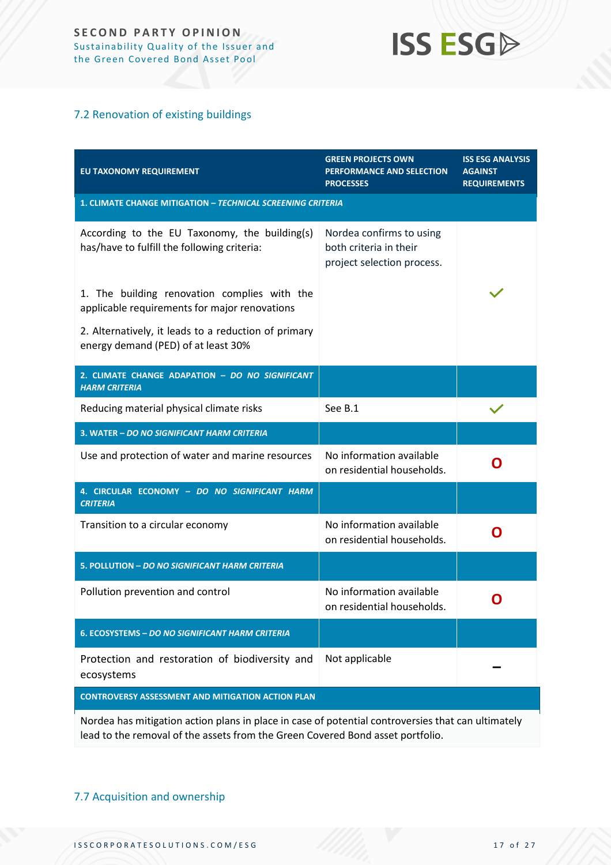## **ISS ESG**

#### 7.2 Renovation of existing buildings

| EU TAXONOMY REQUIREMENT                                                                       | <b>GREEN PROJECTS OWN</b><br>PERFORMANCE AND SELECTION<br><b>PROCESSES</b>       | <b>ISS ESG ANALYSIS</b><br><b>AGAINST</b><br><b>REQUIREMENTS</b> |
|-----------------------------------------------------------------------------------------------|----------------------------------------------------------------------------------|------------------------------------------------------------------|
| <b>1. CLIMATE CHANGE MITIGATION - TECHNICAL SCREENING CRITERIA</b>                            |                                                                                  |                                                                  |
| According to the EU Taxonomy, the building(s)<br>has/have to fulfill the following criteria:  | Nordea confirms to using<br>both criteria in their<br>project selection process. |                                                                  |
| 1. The building renovation complies with the<br>applicable requirements for major renovations |                                                                                  |                                                                  |
| 2. Alternatively, it leads to a reduction of primary<br>energy demand (PED) of at least 30%   |                                                                                  |                                                                  |
| 2. CLIMATE CHANGE ADAPATION - DO NO SIGNIFICANT<br><b>HARM CRITERIA</b>                       |                                                                                  |                                                                  |
| Reducing material physical climate risks                                                      | See B.1                                                                          |                                                                  |
| 3. WATER - DO NO SIGNIFICANT HARM CRITERIA                                                    |                                                                                  |                                                                  |
| Use and protection of water and marine resources                                              | No information available<br>on residential households.                           | O                                                                |
| 4. CIRCULAR ECONOMY - DO NO SIGNIFICANT HARM<br><b>CRITERIA</b>                               |                                                                                  |                                                                  |
| Transition to a circular economy                                                              | No information available<br>on residential households.                           | O                                                                |
| 5. POLLUTION - DO NO SIGNIFICANT HARM CRITERIA                                                |                                                                                  |                                                                  |
| Pollution prevention and control                                                              | No information available<br>on residential households.                           | O                                                                |
| 6. ECOSYSTEMS - DO NO SIGNIFICANT HARM CRITERIA                                               |                                                                                  |                                                                  |
| Protection and restoration of biodiversity and<br>ecosystems                                  | Not applicable                                                                   |                                                                  |
| <b>CONTROVERSY ASSESSMENT AND MITIGATION ACTION PLAN</b>                                      |                                                                                  |                                                                  |

Nordea has mitigation action plans in place in case of potential controversies that can ultimately lead to the removal of the assets from the Green Covered Bond asset portfolio.

#### 7.7 Acquisition and ownership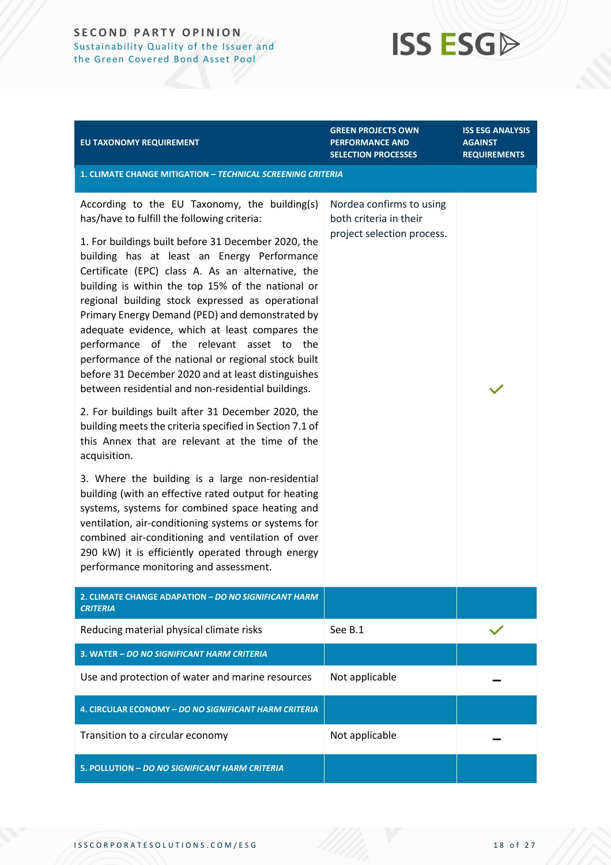## **ISS ESG**

| EU TAXONOMY REQUIREMENT                                                                                                                                                                                                                                                                                                                                                                                                                                                                                                                                                                                                                                                                                                                                                                                                                                                                                                                                                                                                                                                                                                                                                                                                                             | <b>GREEN PROJECTS OWN</b><br><b>PERFORMANCE AND</b><br><b>SELECTION PROCESSES</b> | <b>ISS ESG ANALYSIS</b><br><b>AGAINST</b><br><b>REQUIREMENTS</b> |  |
|-----------------------------------------------------------------------------------------------------------------------------------------------------------------------------------------------------------------------------------------------------------------------------------------------------------------------------------------------------------------------------------------------------------------------------------------------------------------------------------------------------------------------------------------------------------------------------------------------------------------------------------------------------------------------------------------------------------------------------------------------------------------------------------------------------------------------------------------------------------------------------------------------------------------------------------------------------------------------------------------------------------------------------------------------------------------------------------------------------------------------------------------------------------------------------------------------------------------------------------------------------|-----------------------------------------------------------------------------------|------------------------------------------------------------------|--|
| 1. CLIMATE CHANGE MITIGATION - TECHNICAL SCREENING CRITERIA                                                                                                                                                                                                                                                                                                                                                                                                                                                                                                                                                                                                                                                                                                                                                                                                                                                                                                                                                                                                                                                                                                                                                                                         |                                                                                   |                                                                  |  |
| According to the EU Taxonomy, the building(s)<br>has/have to fulfill the following criteria:<br>1. For buildings built before 31 December 2020, the<br>building has at least an Energy Performance<br>Certificate (EPC) class A. As an alternative, the<br>building is within the top 15% of the national or<br>regional building stock expressed as operational<br>Primary Energy Demand (PED) and demonstrated by<br>adequate evidence, which at least compares the<br>performance of the relevant asset to the<br>performance of the national or regional stock built<br>before 31 December 2020 and at least distinguishes<br>between residential and non-residential buildings.<br>2. For buildings built after 31 December 2020, the<br>building meets the criteria specified in Section 7.1 of<br>this Annex that are relevant at the time of the<br>acquisition.<br>3. Where the building is a large non-residential<br>building (with an effective rated output for heating<br>systems, systems for combined space heating and<br>ventilation, air-conditioning systems or systems for<br>combined air-conditioning and ventilation of over<br>290 kW) it is efficiently operated through energy<br>performance monitoring and assessment. | Nordea confirms to using<br>both criteria in their<br>project selection process.  |                                                                  |  |
| 2. CLIMATE CHANGE ADAPATION - DO NO SIGNIFICANT HARM<br><b>CRITERIA</b>                                                                                                                                                                                                                                                                                                                                                                                                                                                                                                                                                                                                                                                                                                                                                                                                                                                                                                                                                                                                                                                                                                                                                                             |                                                                                   |                                                                  |  |
| Reducing material physical climate risks                                                                                                                                                                                                                                                                                                                                                                                                                                                                                                                                                                                                                                                                                                                                                                                                                                                                                                                                                                                                                                                                                                                                                                                                            | See B.1                                                                           |                                                                  |  |
| 3. WATER - DO NO SIGNIFICANT HARM CRITERIA                                                                                                                                                                                                                                                                                                                                                                                                                                                                                                                                                                                                                                                                                                                                                                                                                                                                                                                                                                                                                                                                                                                                                                                                          |                                                                                   |                                                                  |  |
| Use and protection of water and marine resources                                                                                                                                                                                                                                                                                                                                                                                                                                                                                                                                                                                                                                                                                                                                                                                                                                                                                                                                                                                                                                                                                                                                                                                                    | Not applicable                                                                    |                                                                  |  |
| 4. CIRCULAR ECONOMY - DO NO SIGNIFICANT HARM CRITERIA                                                                                                                                                                                                                                                                                                                                                                                                                                                                                                                                                                                                                                                                                                                                                                                                                                                                                                                                                                                                                                                                                                                                                                                               |                                                                                   |                                                                  |  |
| Transition to a circular economy                                                                                                                                                                                                                                                                                                                                                                                                                                                                                                                                                                                                                                                                                                                                                                                                                                                                                                                                                                                                                                                                                                                                                                                                                    | Not applicable                                                                    |                                                                  |  |
| 5. POLLUTION - DO NO SIGNIFICANT HARM CRITERIA                                                                                                                                                                                                                                                                                                                                                                                                                                                                                                                                                                                                                                                                                                                                                                                                                                                                                                                                                                                                                                                                                                                                                                                                      |                                                                                   |                                                                  |  |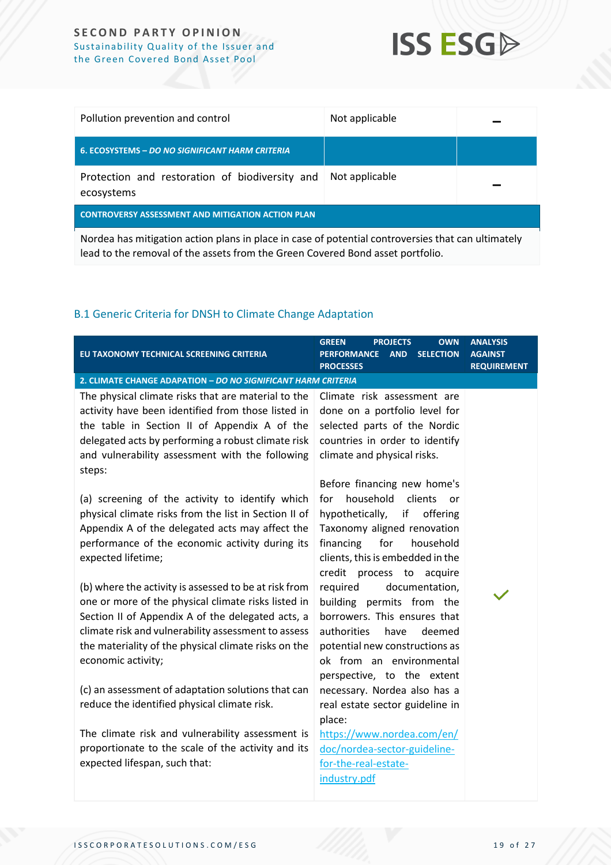

| Pollution prevention and control                                                                   | Not applicable |  |  |
|----------------------------------------------------------------------------------------------------|----------------|--|--|
| <b>6. ECOSYSTEMS - DO NO SIGNIFICANT HARM CRITERIA</b>                                             |                |  |  |
| Protection and restoration of biodiversity and<br>ecosystems                                       | Not applicable |  |  |
| <b>CONTROVERSY ASSESSMENT AND MITIGATION ACTION PLAN</b>                                           |                |  |  |
| Nordea has mitigation action plans in place in case of potential controversies that can ultimately |                |  |  |

Nordea has mitigation action plans in place in case of potential controversies that can ultimately lead to the removal of the assets from the Green Covered Bond asset portfolio.

#### B.1 Generic Criteria for DNSH to Climate Change Adaptation

| EU TAXONOMY TECHNICAL SCREENING CRITERIA                                                                                                                                                                                                                                                                                                                     | <b>GREEN</b><br><b>PROJECTS</b><br><b>OWN</b><br><b>PERFORMANCE</b><br><b>AND</b><br><b>SELECTION</b><br><b>PROCESSES</b>                                                                                                                            | <b>ANALYSIS</b><br>AGAINST<br><b>REQUIREMENT</b> |
|--------------------------------------------------------------------------------------------------------------------------------------------------------------------------------------------------------------------------------------------------------------------------------------------------------------------------------------------------------------|------------------------------------------------------------------------------------------------------------------------------------------------------------------------------------------------------------------------------------------------------|--------------------------------------------------|
| 2. CLIMATE CHANGE ADAPATION - DO NO SIGNIFICANT HARM CRITERIA                                                                                                                                                                                                                                                                                                |                                                                                                                                                                                                                                                      |                                                  |
| The physical climate risks that are material to the<br>activity have been identified from those listed in<br>the table in Section II of Appendix A of the<br>delegated acts by performing a robust climate risk<br>and vulnerability assessment with the following<br>steps:                                                                                 | Climate risk assessment are<br>done on a portfolio level for<br>selected parts of the Nordic<br>countries in order to identify<br>climate and physical risks.<br>Before financing new home's                                                         |                                                  |
| (a) screening of the activity to identify which<br>physical climate risks from the list in Section II of<br>Appendix A of the delegated acts may affect the<br>performance of the economic activity during its<br>expected lifetime;                                                                                                                         | household<br>clients<br>for<br>or<br>hypothetically,<br>if<br>offering<br>Taxonomy aligned renovation<br>financing<br>for<br>household<br>clients, this is embedded in the<br>credit process to acquire                                              |                                                  |
| (b) where the activity is assessed to be at risk from<br>one or more of the physical climate risks listed in<br>Section II of Appendix A of the delegated acts, a<br>climate risk and vulnerability assessment to assess<br>the materiality of the physical climate risks on the<br>economic activity;<br>(c) an assessment of adaptation solutions that can | documentation,<br>required<br>building permits from the<br>borrowers. This ensures that<br>authorities<br>have<br>deemed<br>potential new constructions as<br>ok from an environmental<br>perspective, to the extent<br>necessary. Nordea also has a |                                                  |
| reduce the identified physical climate risk.<br>The climate risk and vulnerability assessment is<br>proportionate to the scale of the activity and its                                                                                                                                                                                                       | real estate sector guideline in<br>place:<br>https://www.nordea.com/en/<br>doc/nordea-sector-guideline-                                                                                                                                              |                                                  |
| expected lifespan, such that:                                                                                                                                                                                                                                                                                                                                | for-the-real-estate-<br>industry.pdf                                                                                                                                                                                                                 |                                                  |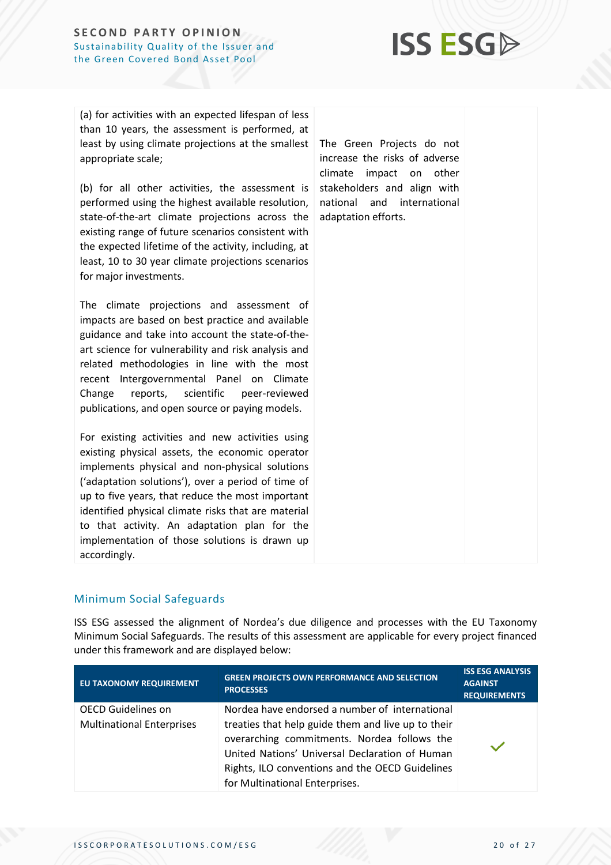

(a) for activities with an expected lifespan of less than 10 years, the assessment is performed, at least by using climate projections at the smallest appropriate scale;

(b) for all other activities, the assessment is performed using the highest available resolution, state-of-the-art climate projections across the existing range of future scenarios consistent with the expected lifetime of the activity, including, at least, 10 to 30 year climate projections scenarios for major investments.

The climate projections and assessment of impacts are based on best practice and available guidance and take into account the state-of-theart science for vulnerability and risk analysis and related methodologies in line with the most recent Intergovernmental Panel on Climate Change reports, scientific peer-reviewed publications, and open source or paying models.

For existing activities and new activities using existing physical assets, the economic operator implements physical and non-physical solutions ('adaptation solutions'), over a period of time of up to five years, that reduce the most important identified physical climate risks that are material to that activity. An adaptation plan for the implementation of those solutions is drawn up accordingly.

The Green Projects do not increase the risks of adverse climate impact on other stakeholders and align with national and international adaptation efforts.

#### <span id="page-19-0"></span>Minimum Social Safeguards

ISS ESG assessed the alignment of Nordea's due diligence and processes with the EU Taxonomy Minimum Social Safeguards. The results of this assessment are applicable for every project financed under this framework and are displayed below:

| <b>EU TAXONOMY REQUIREMENT</b>                                | <b>GREEN PROJECTS OWN PERFORMANCE AND SELECTION</b><br><b>PROCESSES</b>                                                                                                                                                                                                                    | <b>ISS ESG ANALYSIS</b><br><b>AGAINST</b><br><b>REQUIREMENTS</b> |
|---------------------------------------------------------------|--------------------------------------------------------------------------------------------------------------------------------------------------------------------------------------------------------------------------------------------------------------------------------------------|------------------------------------------------------------------|
| <b>OECD Guidelines on</b><br><b>Multinational Enterprises</b> | Nordea have endorsed a number of international<br>treaties that help guide them and live up to their<br>overarching commitments. Nordea follows the<br>United Nations' Universal Declaration of Human<br>Rights, ILO conventions and the OECD Guidelines<br>for Multinational Enterprises. |                                                                  |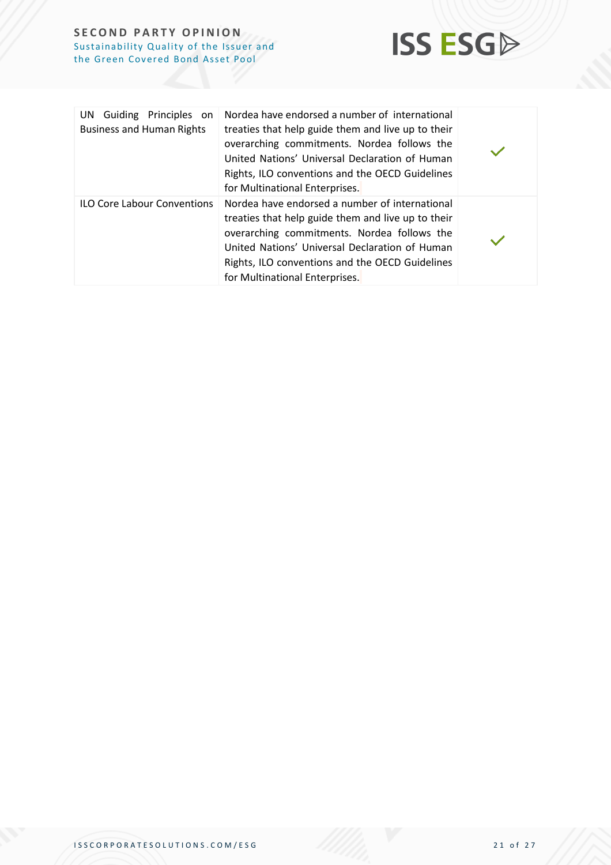

| Guiding Principles on<br>UN.<br><b>Business and Human Rights</b> | Nordea have endorsed a number of international<br>treaties that help guide them and live up to their<br>overarching commitments. Nordea follows the<br>United Nations' Universal Declaration of Human<br>Rights, ILO conventions and the OECD Guidelines<br>for Multinational Enterprises. |  |
|------------------------------------------------------------------|--------------------------------------------------------------------------------------------------------------------------------------------------------------------------------------------------------------------------------------------------------------------------------------------|--|
| <b>ILO Core Labour Conventions</b>                               | Nordea have endorsed a number of international<br>treaties that help guide them and live up to their<br>overarching commitments. Nordea follows the<br>United Nations' Universal Declaration of Human<br>Rights, ILO conventions and the OECD Guidelines<br>for Multinational Enterprises. |  |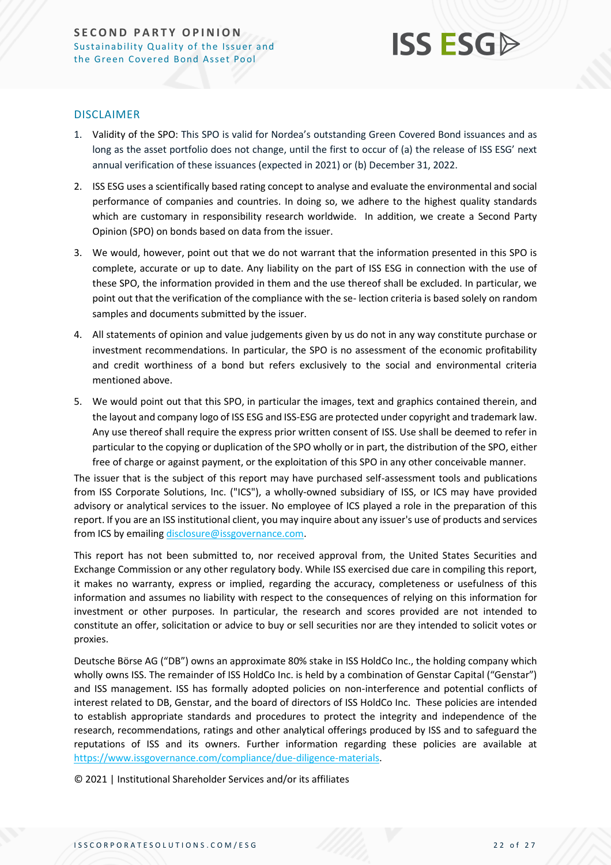

#### DISCLAIMER

- 1. Validity of the SPO: This SPO is valid for Nordea's outstanding Green Covered Bond issuances and as long as the asset portfolio does not change, until the first to occur of (a) the release of ISS ESG' next annual verification of these issuances (expected in 2021) or (b) December 31, 2022.
- 2. ISS ESG uses a scientifically based rating concept to analyse and evaluate the environmental and social performance of companies and countries. In doing so, we adhere to the highest quality standards which are customary in responsibility research worldwide. In addition, we create a Second Party Opinion (SPO) on bonds based on data from the issuer.
- 3. We would, however, point out that we do not warrant that the information presented in this SPO is complete, accurate or up to date. Any liability on the part of ISS ESG in connection with the use of these SPO, the information provided in them and the use thereof shall be excluded. In particular, we point out that the verification of the compliance with the se- lection criteria is based solely on random samples and documents submitted by the issuer.
- 4. All statements of opinion and value judgements given by us do not in any way constitute purchase or investment recommendations. In particular, the SPO is no assessment of the economic profitability and credit worthiness of a bond but refers exclusively to the social and environmental criteria mentioned above.
- 5. We would point out that this SPO, in particular the images, text and graphics contained therein, and the layout and company logo of ISS ESG and ISS-ESG are protected under copyright and trademark law. Any use thereof shall require the express prior written consent of ISS. Use shall be deemed to refer in particular to the copying or duplication of the SPO wholly or in part, the distribution of the SPO, either free of charge or against payment, or the exploitation of this SPO in any other conceivable manner.

The issuer that is the subject of this report may have purchased self-assessment tools and publications from ISS Corporate Solutions, Inc. ("ICS"), a wholly-owned subsidiary of ISS, or ICS may have provided advisory or analytical services to the issuer. No employee of ICS played a role in the preparation of this report. If you are an ISS institutional client, you may inquire about any issuer's use of products and services from ICS by emailing [disclosure@issgovernance.com.](mailto:disclosure@issgovernance.com)

This report has not been submitted to, nor received approval from, the United States Securities and Exchange Commission or any other regulatory body. While ISS exercised due care in compiling this report, it makes no warranty, express or implied, regarding the accuracy, completeness or usefulness of this information and assumes no liability with respect to the consequences of relying on this information for investment or other purposes. In particular, the research and scores provided are not intended to constitute an offer, solicitation or advice to buy or sell securities nor are they intended to solicit votes or proxies.

Deutsche Börse AG ("DB") owns an approximate 80% stake in ISS HoldCo Inc., the holding company which wholly owns ISS. The remainder of ISS HoldCo Inc. is held by a combination of Genstar Capital ("Genstar") and ISS management. ISS has formally adopted policies on non-interference and potential conflicts of interest related to DB, Genstar, and the board of directors of ISS HoldCo Inc. These policies are intended to establish appropriate standards and procedures to protect the integrity and independence of the research, recommendations, ratings and other analytical offerings produced by ISS and to safeguard the reputations of ISS and its owners. Further information regarding these policies are available at [https://www.issgovernance.com/compliance/due-diligence-materials.](https://www.issgovernance.com/compliance/due-diligence-materials)

© 2021 | Institutional Shareholder Services and/or its affiliates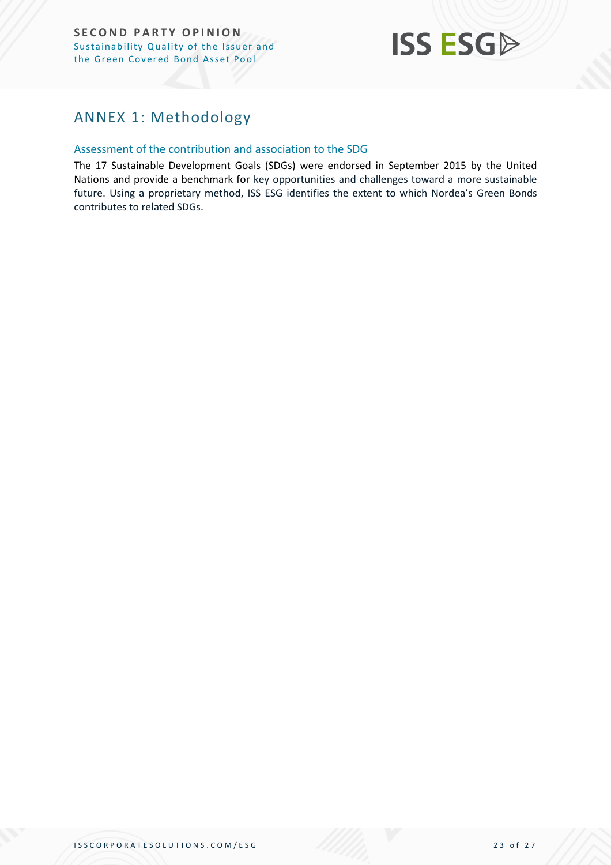

### <span id="page-22-0"></span>ANNEX 1: Methodology

#### Assessment of the contribution and association to the SDG

The 17 Sustainable Development Goals (SDGs) were endorsed in September 2015 by the United Nations and provide a benchmark for key opportunities and challenges toward a more sustainable future. Using a proprietary method, ISS ESG identifies the extent to which Nordea's Green Bonds contributes to related SDGs.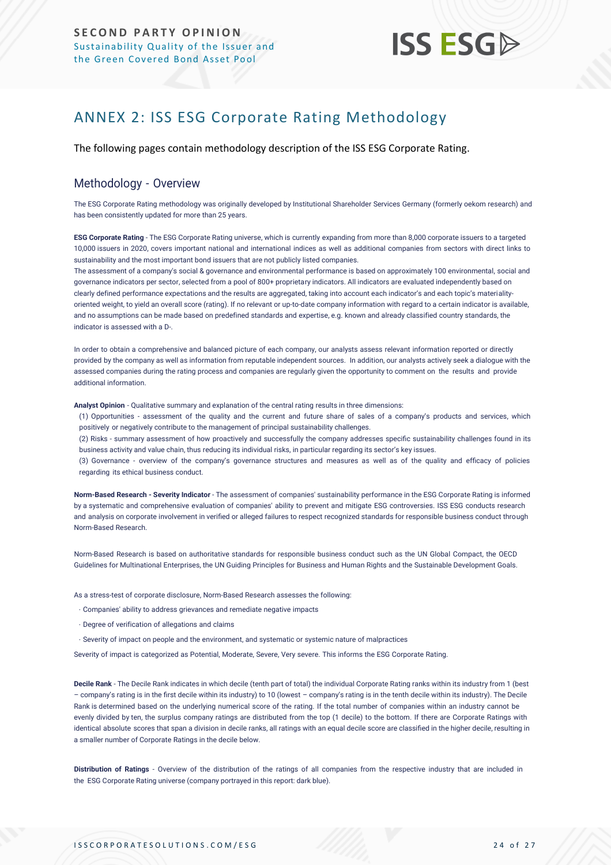## **ISS ESG**

## <span id="page-23-0"></span>ANNEX 2: ISS ESG Corporate Rating Methodology

The following pages contain methodology description of the ISS ESG Corporate Rating.

#### Methodology - Overview

The ESG Corporate Rating methodology was originally developed by Institutional Shareholder Services Germany (formerly oekom research) and has been consistently updated for more than 25 years.

**ESG Corporate Rating** - The ESG Corporate Rating universe, which is currently expanding from more than 8,000 corporate issuers to a targeted 10,000 issuers in 2020, covers important national and international indices as well as additional companies from sectors with direct links to sustainability and the most important bond issuers that are not publicly listed companies.

The assessment of a company's social & governance and environmental performance is based on approximately 100 environmental, social and governance indicators per sector, selected from a pool of 800+ proprietary indicators. All indicators are evaluated independently based on clearly defined performance expectations and the results are aggregated, taking into account each indicator's and each topic's materialityoriented weight, to yield an overall score (rating). If no relevant or up-to-date company information with regard to a certain indicator is available, and no assumptions can be made based on predefined standards and expertise, e.g. known and already classified country standards, the indicator is assessed with a D-.

In order to obtain a comprehensive and balanced picture of each company, our analysts assess relevant information reported or directly provided by the company as well as information from reputable independent sources. In addition, our analysts actively seek a dialogue with the assessed companies during the rating process and companies are regularly given the opportunity to comment on the results and provide additional information.

**Analyst Opinion** - Qualitative summary and explanation of the central rating results in three dimensions:

(1) Opportunities - assessment of the quality and the current and future share of sales of a company's products and services, which positively or negatively contribute to the management of principal sustainability challenges.

(2) Risks - summary assessment of how proactively and successfully the company addresses specific sustainability challenges found in its business activity and value chain, thus reducing its individual risks, in particular regarding its sector's key issues.

(3) Governance - overview of the company's governance structures and measures as well as of the quality and efficacy of policies regarding its ethical business conduct.

**Norm-Based Research - Severity Indicator** - The assessment of companies' sustainability performance in the ESG Corporate Rating is informed by a systematic and comprehensive evaluation of companies' ability to prevent and mitigate ESG controversies. ISS ESG conducts research and analysis [on corporate involvement in verified or alleged failures to respect recognized standards for responsible business conduct thro](https://www.issgovernance.com/esg/screening/esg-screening-solutions/#nbr_techdoc_download)ugh [Norm-Based](https://www.issgovernance.com/esg/screening/esg-screening-solutions/#nbr_techdoc_download) Research.

Norm-Based Research is based on authoritative standards for responsible business conduct such as the UN Global Compact, the OECD Guidelines for Multinational Enterprises, the UN Guiding Principles for Business and Human Rights and the Sustainable Development Goals.

As a stress-test of corporate disclosure, Norm-Based Research assesses the following:

- Companies' ability to address grievances and remediate negative impacts
- Degree of verification of allegations and claims
- Severity of impact on people and the environment, and systematic or systemic nature of malpractices

Severity of impact is categorized as Potential, Moderate, Severe, Very severe. This informs the ESG Corporate Rating.

**Decile Rank** - The Decile Rank indicates in which decile (tenth part of total) the individual Corporate Rating ranks within its industry from 1 (best – company's rating is in the first decile within its industry) to 10 (lowest – company's rating is in the tenth decile within its industry). The Decile Rank is determined based on the underlying numerical score of the rating. If the total number of companies within an industry cannot be evenly divided by ten, the surplus company ratings are distributed from the top (1 decile) to the bottom. If there are Corporate Ratings with identical absolute scores that span a division in decile ranks, all ratings with an equal decile score are classified in the higher decile, resulting in a smaller number of Corporate Ratings in the decile below.

**Distribution of Ratings** - Overview of the distribution of the ratings of all companies from the respective industry that are included in the ESG Corporate Rating universe (company portrayed in this report: dark blue).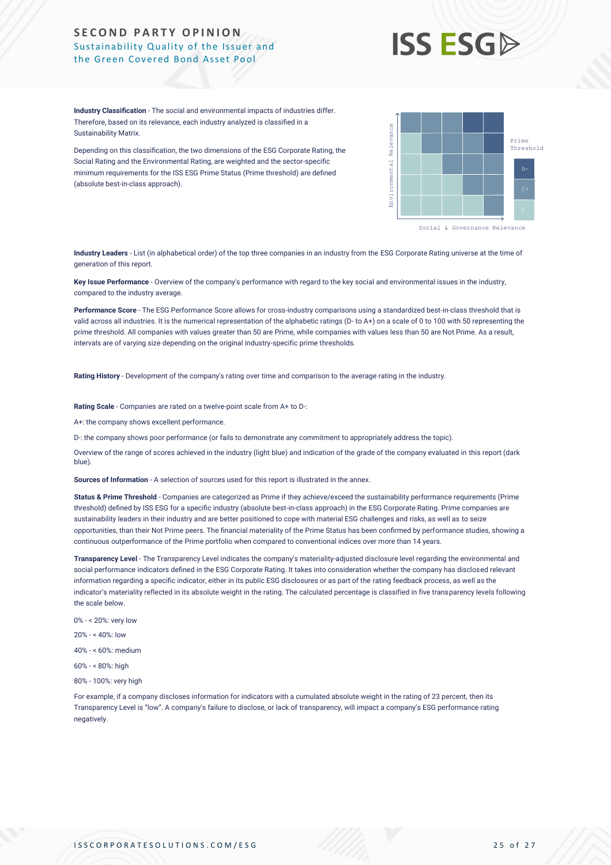## **ISS ESG**

**Industry Classification** - The social and environmental impacts of industries differ. Therefore, based on its relevance, each industry analyzed is classified in a Sustainability Matrix.

Depending on this classification, the two dimensions of the ESG Corporate Rating, the Social Rating and the Environmental Rating, are weighted and the sector-specific minimum requirements for the ISS ESG Prime Status (Prime threshold) are defined (absolute best-in-class approach).



Social & Governance Relevance

**Industry Leaders** - List (in alphabetical order) of the top three companies in an industry from the ESG Corporate Rating universe at the time of generation of this report.

**Key Issue Performance** - Overview of the company's performance with regard to the key social and environmental issues in the industry, compared to the industry average.

**Performance Score** - The ESG Performance Score allows for cross-industry comparisons using a standardized best-in-class threshold that is valid across all industries. It is the numerical representation of the alphabetic ratings (D- to A+) on a scale of 0 to 100 with 50 representing the prime threshold. All companies with values greater than 50 are Prime, while companies with values less than 50 are Not Prime. As a result, intervals are of varying size depending on the original industry-specific prime thresholds.

**Rating History** - Development of the company's rating over time and comparison to the average rating in the industry.

**Rating Scale** - Companies are rated on a twelve-point scale from A+ to D-:

A+: the company shows excellent performance.

D-: the company shows poor performance (or fails to demonstrate any commitment to appropriately address the topic).

Overview of the range of scores achieved in the industry (light blue) and indication of the grade of the company evaluated in this report (dark blue).

**Sources of Information** - A selection of sources used for this report is illustrated in the annex.

**Status & Prime Threshold** - Companies are categorized as Prime if they achieve/exceed the sustainability performance requirements (Prime threshold) defined by ISS ESG for a specific industry (absolute best-in-class approach) in the ESG Corporate Rating. Prime companies are sustainability leaders in their industry and are better positioned to cope with material ESG challenges and risks, as well as to seize opportunities, than their Not Prime peers. The financial materiality of the Prime Status has been confirmed by performance studies, showing a continuous outperformance of the Prime portfolio when compared to conventional indices over more than 14 years.

**Transparency Level** - The Transparency Level indicates the company's materiality-adjusted disclosure level regarding the environmental and social performance indicators defined in the ESG Corporate Rating. It takes into consideration whether the company has disclosed relevant information regarding a specific indicator, either in its public ESG disclosures or as part of the rating feedback process, as well as the indicator's materiality reflected in its absolute weight in the rating. The calculated percentage is classified in five transparency levels following the scale below.

0% - < 20%: very low

20% - < 40%: low

- 40% < 60%: medium
- 60% < 80%: high
- 80% 100%: very high

For example, if a company discloses information for indicators with a cumulated absolute weight in the rating of 23 percent, then its Transparency Level is "low". A company's failure to disclose, or lack of transparency, will impact a company's ESG performance rating negatively.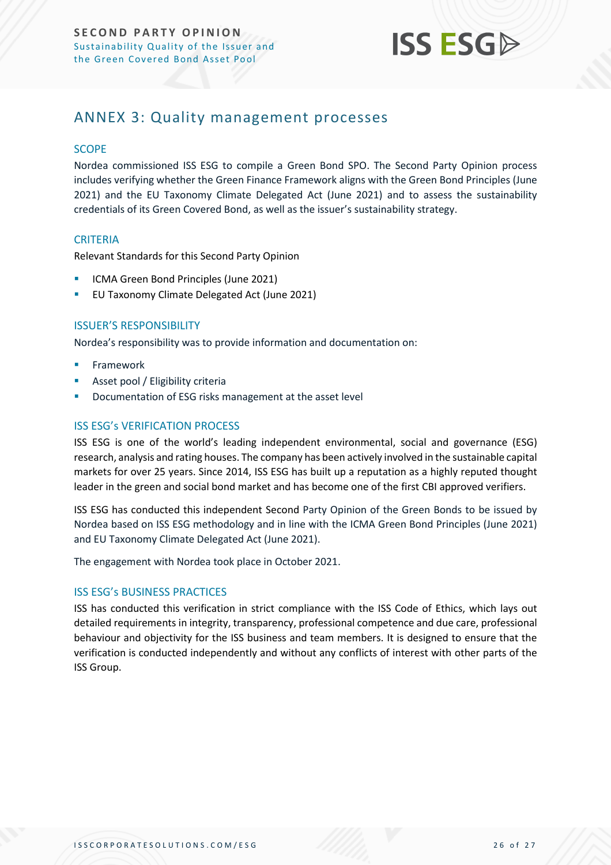

### <span id="page-25-0"></span>ANNEX 3: Quality management processes

#### **SCOPE**

Nordea commissioned ISS ESG to compile a Green Bond SPO. The Second Party Opinion process includes verifying whether the Green Finance Framework aligns with the Green Bond Principles (June 2021) and the EU Taxonomy Climate Delegated Act (June 2021) and to assess the sustainability credentials of its Green Covered Bond, as well as the issuer's sustainability strategy.

#### **CRITERIA**

Relevant Standards for this Second Party Opinion

- ICMA Green Bond Principles (June 2021)
- EU Taxonomy Climate Delegated Act (June 2021)

#### ISSUER'S RESPONSIBILITY

Nordea's responsibility was to provide information and documentation on:

- **Framework**
- Asset pool / Eligibility criteria
- Documentation of ESG risks management at the asset level

#### ISS ESG's VERIFICATION PROCESS

ISS ESG is one of the world's leading independent environmental, social and governance (ESG) research, analysis and rating houses. The company has been actively involved in the sustainable capital markets for over 25 years. Since 2014, ISS ESG has built up a reputation as a highly reputed thought leader in the green and social bond market and has become one of the first CBI approved verifiers.

ISS ESG has conducted this independent Second Party Opinion of the Green Bonds to be issued by Nordea based on ISS ESG methodology and in line with the ICMA Green Bond Principles (June 2021) and EU Taxonomy Climate Delegated Act (June 2021).

The engagement with Nordea took place in October 2021.

#### ISS ESG's BUSINESS PRACTICES

ISS has conducted this verification in strict compliance with the ISS Code of Ethics, which lays out detailed requirements in integrity, transparency, professional competence and due care, professional behaviour and objectivity for the ISS business and team members. It is designed to ensure that the verification is conducted independently and without any conflicts of interest with other parts of the ISS Group.